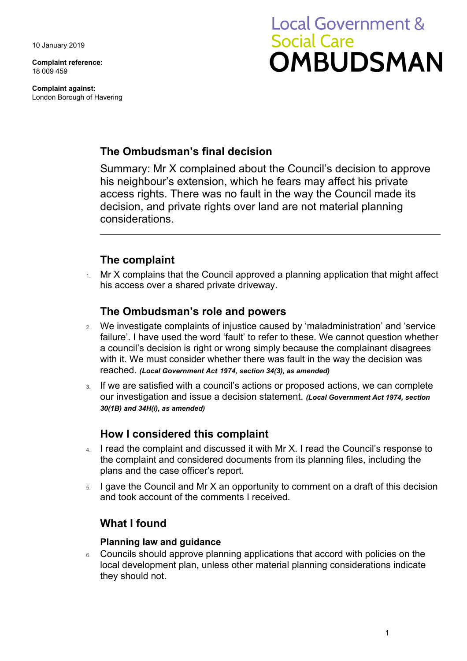10 January 2019

**Complaint reference:**  18 009 459

**Complaint against:**  London Borough of Havering

# **Local Government & Social Care OMBUDSMAN**

## **The Ombudsman's final decision**

Summary: Mr X complained about the Council's decision to approve his neighbour's extension, which he fears may affect his private access rights. There was no fault in the way the Council made its decision, and private rights over land are not material planning considerations.

# **The complaint**

1. Mr X complains that the Council approved a planning application that might affect his access over a shared private driveway.

## **The Ombudsman's role and powers**

- 2. We investigate complaints of injustice caused by 'maladministration' and 'service failure'. I have used the word 'fault' to refer to these. We cannot question whether a council's decision is right or wrong simply because the complainant disagrees with it. We must consider whether there was fault in the way the decision was reached. *(Local Government Act 1974, section 34(3), as amended)*
- our investigation and issue a decision statement. *(Local Government Act 1974, section*  **3.** If we are satisfied with a council's actions or proposed actions, we can complete *30(1B) and 34H(i), as amended)*

# **How I considered this complaint**

- 4. I read the complaint and discussed it with Mr X. I read the Council's response to the complaint and considered documents from its planning files, including the plans and the case officer's report.
- 5. I gave the Council and Mr X an opportunity to comment on a draft of this decision and took account of the comments I received.

# **What I found**

#### **Planning law and guidance**

6. Councils should approve planning applications that accord with policies on the local development plan, unless other material planning considerations indicate they should not.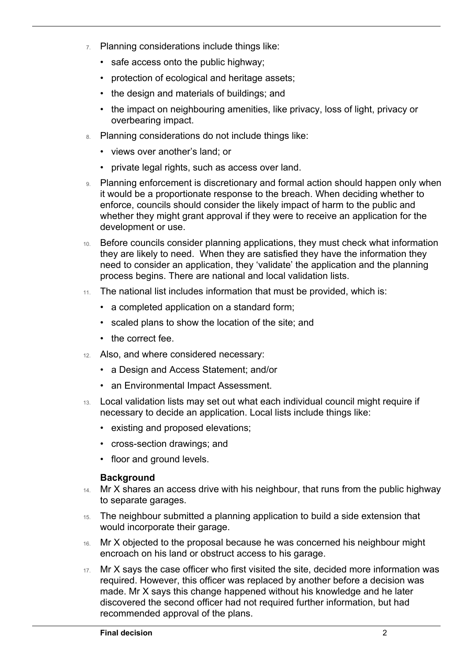7. Planning considerations include things like:

 $\overline{a}$ 

- safe access onto the public highway;
- protection of ecological and heritage assets;
- the design and materials of buildings; and
- the impact on neighbouring amenities, like privacy, loss of light, privacy or overbearing impact.
- 8. Planning considerations do not include things like:
	- views over another's land; or
	- private legal rights, such as access over land.
- it would be a proportionate response to the breach. When deciding whether to enforce, councils should consider the likely impact of harm to the public and 9. Planning enforcement is discretionary and formal action should happen only when whether they might grant approval if they were to receive an application for the development or use.
- they are likely to need. When they are satisfied they have the information they 10. Before councils consider planning applications, they must check what information need to consider an application, they 'validate' the application and the planning process begins. There are national and local validation lists.
- 11. The national list includes information that must be provided, which is:
	- a completed application on a standard form;
	- scaled plans to show the location of the site; and
	- the correct fee.
- 12. Also, and where considered necessary:
	- a Design and Access Statement; and/or
	- an Environmental Impact Assessment.
- 13. Local validation lists may set out what each individual council might require if necessary to decide an application. Local lists include things like:
	- existing and proposed elevations;
	- cross-section drawings; and
	- floor and ground levels.

#### **Background**

- 14. Mr X shares an access drive with his neighbour, that runs from the public highway to separate garages.
- 15. The neighbour submitted a planning application to build a side extension that would incorporate their garage.
- 16. Mr X objected to the proposal because he was concerned his neighbour might encroach on his land or obstruct access to his garage.
- 17. Mr X says the case officer who first visited the site, decided more information was required. However, this officer was replaced by another before a decision was made. Mr X says this change happened without his knowledge and he later discovered the second officer had not required further information, but had recommended approval of the plans.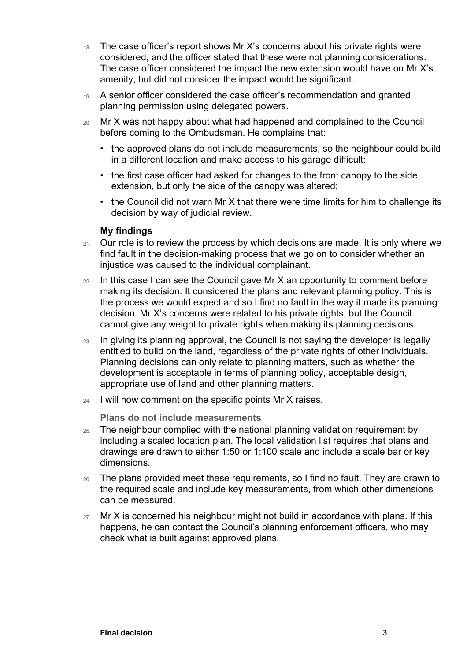- $18.$  The case officer's report shows Mr X's concerns about his private rights were considered, and the officer stated that these were not planning considerations. The case officer considered the impact the new extension would have on Mr X's amenity, but did not consider the impact would be significant.
- planning permission using delegated powers. 19. A senior officer considered the case officer's recommendation and granted
- 20. Mr X was not happy about what had happened and complained to the Council before coming to the Ombudsman. He complains that:
	- the approved plans do not include measurements, so the neighbour could build in a different location and make access to his garage difficult;
	- the first case officer had asked for changes to the front canopy to the side extension, but only the side of the canopy was altered;
	- • the Council did not warn Mr X that there were time limits for him to challenge its decision by way of judicial review.

#### **My findings**

 $\overline{a}$ 

- 21. Our role is to review the process by which decisions are made. It is only where we find fault in the decision-making process that we go on to consider whether an injustice was caused to the individual complainant.
- making its decision. It considered the plans and relevant planning policy. This is 22. In this case I can see the Council gave Mr X an opportunity to comment before the process we would expect and so I find no fault in the way it made its planning decision. Mr X's concerns were related to his private rights, but the Council cannot give any weight to private rights when making its planning decisions.
- Planning decisions can only relate to planning matters, such as whether the 23. In giving its planning approval, the Council is not saying the developer is legally entitled to build on the land, regardless of the private rights of other individuals. development is acceptable in terms of planning policy, acceptable design, appropriate use of land and other planning matters.
- 24. I will now comment on the specific points Mr X raises.

**Plans do not include measurements** 

- 25. The neighbour complied with the national planning validation requirement by including a scaled location plan. The local validation list requires that plans and drawings are drawn to either 1:50 or 1:100 scale and include a scale bar or key dimensions.
- 26. The plans provided meet these requirements, so I find no fault. They are drawn to the required scale and include key measurements, from which other dimensions can be measured.
- $27.$  Mr X is concerned his neighbour might not build in accordance with plans. If this happens, he can contact the Council's planning enforcement officers, who may check what is built against approved plans.